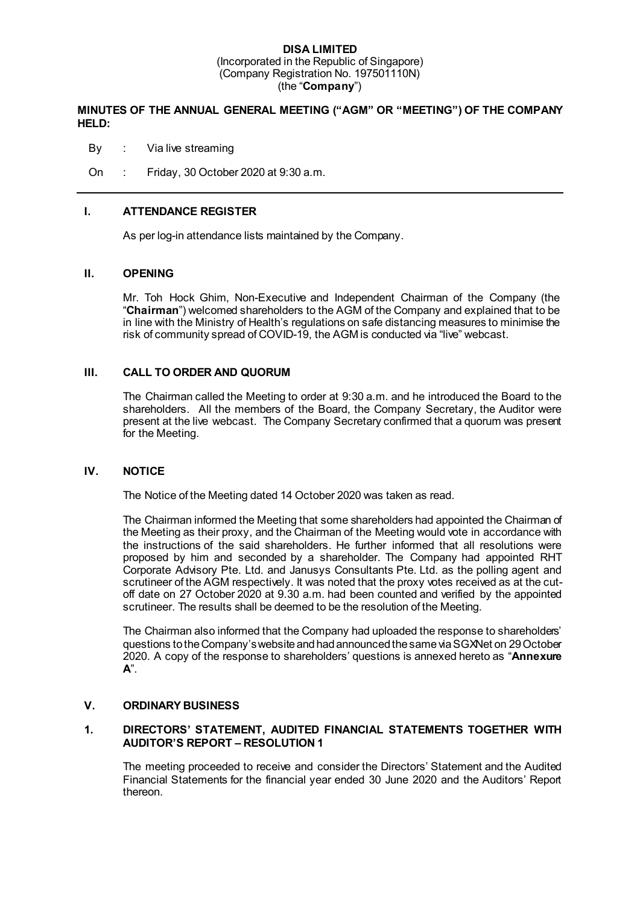### **DISA LIMITED** (Incorporated in the Republic of Singapore) (Company Registration No. 197501110N) (the "**Company**")

# **MINUTES OF THE ANNUAL GENERAL MEETING ("AGM" OR "MEETING") OF THE COMPANY HELD:**

By : Via live streaming

On : Friday, 30 October 2020 at 9:30 a.m.

# **I. ATTENDANCE REGISTER**

As per log-in attendance lists maintained by the Company.

### **II. OPENING**

Mr. Toh Hock Ghim, Non-Executive and Independent Chairman of the Company (the "**Chairman**") welcomed shareholders to the AGM of the Company and explained that to be in line with the Ministry of Health's regulations on safe distancing measures to minimise the risk of community spread of COVID-19, the AGM is conducted via "live" webcast.

### **III. CALL TO ORDER AND QUORUM**

The Chairman called the Meeting to order at 9:30 a.m. and he introduced the Board to the shareholders. All the members of the Board, the Company Secretary, the Auditor were present at the live webcast. The Company Secretary confirmed that a quorum was present for the Meeting.

#### **IV. NOTICE**

The Notice of the Meeting dated 14 October 2020 was taken as read.

The Chairman informed the Meeting that some shareholders had appointed the Chairman of the Meeting as their proxy, and the Chairman of the Meeting would vote in accordance with the instructions of the said shareholders. He further informed that all resolutions were proposed by him and seconded by a shareholder. The Company had appointed RHT Corporate Advisory Pte. Ltd. and Janusys Consultants Pte. Ltd. as the polling agent and scrutineer of the AGM respectively. It was noted that the proxy votes received as at the cutoff date on 27 October 2020 at 9.30 a.m. had been counted and verified by the appointed scrutineer. The results shall be deemed to be the resolution of the Meeting.

The Chairman also informed that the Company had uploaded the response to shareholders' questions to the Company's website and had announced the same via SGXNet on 29 October 2020. A copy of the response to shareholders' questions is annexed hereto as "**Annexure A**".

#### **V. ORDINARY BUSINESS**

# **1. DIRECTORS' STATEMENT, AUDITED FINANCIAL STATEMENTS TOGETHER WITH AUDITOR'S REPORT – RESOLUTION 1**

The meeting proceeded to receive and consider the Directors' Statement and the Audited Financial Statements for the financial year ended 30 June 2020 and the Auditors' Report thereon.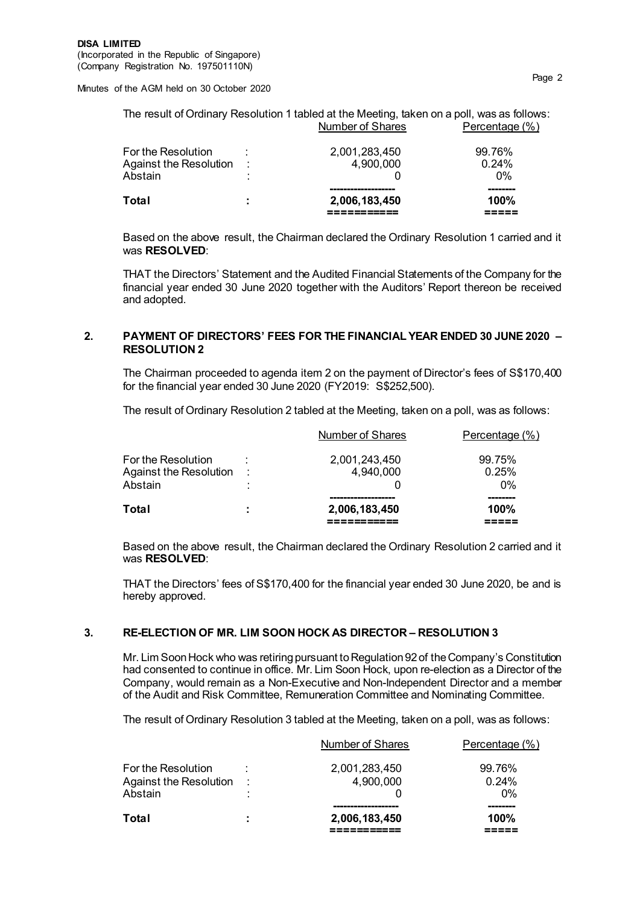| The result of Ordinary Resolution 1 tabled at the Meeting, taken on a poll, was as follows: |                  |                |
|---------------------------------------------------------------------------------------------|------------------|----------------|
|                                                                                             | Number of Shares | Percentage (%) |

| Total                               | 2,006,183,450 | --------<br>100%  |
|-------------------------------------|---------------|-------------------|
| Against the Resolution :<br>Abstain | 4,900,000     | $0.24\%$<br>$0\%$ |
| For the Resolution                  | 2,001,283,450 | 99.76%            |

Based on the above result, the Chairman declared the Ordinary Resolution 1 carried and it was **RESOLVED**:

THAT the Directors' Statement and the Audited Financial Statements of the Company for the financial year ended 30 June 2020 together with the Auditors' Report thereon be received and adopted.

### **2. PAYMENT OF DIRECTORS' FEES FOR THE FINANCIAL YEAR ENDED 30 JUNE 2020 – RESOLUTION 2**

The Chairman proceeded to agenda item 2 on the payment of Director's fees of S\$170,400 for the financial year ended 30 June 2020 (FY2019: S\$252,500).

The result of Ordinary Resolution 2 tabled at the Meeting, taken on a poll, was as follows:

| Total                               | ÷         | 2,006,183,450                     | 100%                     |
|-------------------------------------|-----------|-----------------------------------|--------------------------|
| Against the Resolution :<br>Abstain | $\bullet$ | 4,940,000                         | 0.25%<br>$0\%$           |
| For the Resolution                  | ٠         | Number of Shares<br>2,001,243,450 | Percentage (%)<br>99.75% |

Based on the above result, the Chairman declared the Ordinary Resolution 2 carried and it was **RESOLVED**:

THAT the Directors' fees of S\$170,400 for the financial year ended 30 June 2020, be and is hereby approved.

# **3. RE-ELECTION OF MR. LIM SOON HOCK AS DIRECTOR – RESOLUTION 3**

Mr. Lim Soon Hock who was retiring pursuant to Regulation 92 of the Company's Constitution had consented to continue in office. Mr. Lim Soon Hock, upon re-election as a Director of the Company, would remain as a Non-Executive and Non-Independent Director and a member of the Audit and Risk Committee, Remuneration Committee and Nominating Committee.

The result of Ordinary Resolution 3 tabled at the Meeting, taken on a poll, was as follows:

| Total                                                     | ٠ | 2,006,183,450              | 100%                     |
|-----------------------------------------------------------|---|----------------------------|--------------------------|
| For the Resolution<br>Against the Resolution :<br>Abstain |   | 2,001,283,450<br>4,900,000 | $0.24\%$<br>$0\%$        |
|                                                           |   | <b>Number of Shares</b>    | Percentage (%)<br>99.76% |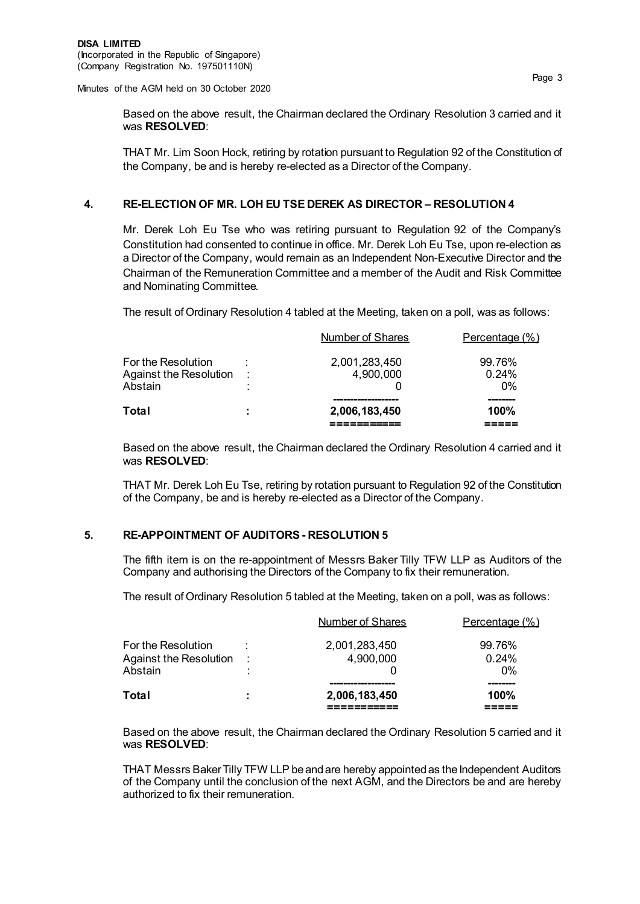Based on the above result, the Chairman declared the Ordinary Resolution 3 carried and it was **RESOLVED**:

THAT Mr. Lim Soon Hock, retiring by rotation pursuant to Regulation 92 of the Constitution of the Company, be and is hereby re-elected as a Director of the Company.

#### **4. RE-ELECTION OF MR. LOH EU TSE DEREK AS DIRECTOR – RESOLUTION 4**

Mr. Derek Loh Eu Tse who was retiring pursuant to Regulation 92 of the Company's Constitution had consented to continue in office. Mr. Derek Loh Eu Tse, upon re-election as a Director of the Company, would remain as an Independent Non-Executive Director and the Chairman of the Remuneration Committee and a member of the Audit and Risk Committee and Nominating Committee.

The result of Ordinary Resolution 4 tabled at the Meeting, taken on a poll, was as follows:

| Total                                                   | ÷             | 2,006,183,450              | 100%                        |
|---------------------------------------------------------|---------------|----------------------------|-----------------------------|
| For the Resolution<br>Against the Resolution<br>Abstain | $\sim$ 1<br>٠ | 2,001,283,450<br>4,900,000 | 99.76%<br>$0.24\%$<br>$0\%$ |
|                                                         |               | Number of Shares           | Percentage (%)              |

Based on the above result, the Chairman declared the Ordinary Resolution 4 carried and it was **RESOLVED**:

THAT Mr. Derek Loh Eu Tse, retiring by rotation pursuant to Regulation 92 of the Constitution of the Company, be and is hereby re-elected as a Director of the Company.

#### **5. RE-APPOINTMENT OF AUDITORS - RESOLUTION 5**

The fifth item is on the re-appointment of Messrs Baker Tilly TFW LLP as Auditors of the Company and authorising the Directors of the Company to fix their remuneration.

The result of Ordinary Resolution 5 tabled at the Meeting, taken on a poll, was as follows:

| Total                             | ÷             | 2,006,183,450    | 100%           |
|-----------------------------------|---------------|------------------|----------------|
| Against the Resolution<br>Abstain | $\sim$ 1<br>٠ | 4,900,000        | 0.24%<br>$0\%$ |
| For the Resolution                |               | 2,001,283,450    | 99.76%         |
|                                   |               | Number of Shares | Percentage (%) |

Based on the above result, the Chairman declared the Ordinary Resolution 5 carried and it was **RESOLVED**:

THAT Messrs Baker Tilly TFW LLP be and are hereby appointed as the Independent Auditors of the Company until the conclusion of the next AGM, and the Directors be and are hereby authorized to fix their remuneration.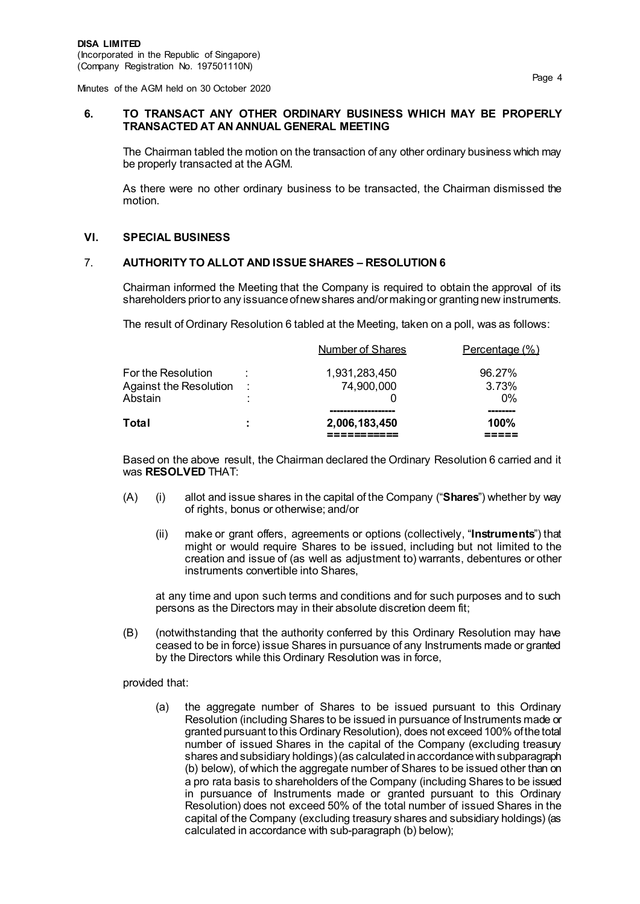### **6. TO TRANSACT ANY OTHER ORDINARY BUSINESS WHICH MAY BE PROPERLY TRANSACTED AT AN ANNUAL GENERAL MEETING**

The Chairman tabled the motion on the transaction of any other ordinary business which may be properly transacted at the AGM.

As there were no other ordinary business to be transacted, the Chairman dismissed the motion.

### **VI. SPECIAL BUSINESS**

### 7. **AUTHORITY TO ALLOT AND ISSUE SHARES – RESOLUTION 6**

Chairman informed the Meeting that the Company is required to obtain the approval of its shareholders prior to any issuance of new shares and/or making or granting new instruments.

The result of Ordinary Resolution 6 tabled at the Meeting, taken on a poll, was as follows:

| Total                                                   | ÷         | 2,006,183,450               | 100%                     |
|---------------------------------------------------------|-----------|-----------------------------|--------------------------|
| For the Resolution<br>Against the Resolution<br>Abstain | - 11<br>٠ | 1,931,283,450<br>74,900,000 | 96.27%<br>3.73%<br>$0\%$ |
|                                                         |           | Number of Shares            | Percentage (%)           |

Based on the above result, the Chairman declared the Ordinary Resolution 6 carried and it was **RESOLVED** THAT:

- (A) (i) allot and issue shares in the capital of the Company ("**Shares**") whether by way of rights, bonus or otherwise; and/or
	- (ii) make or grant offers, agreements or options (collectively, "**Instruments**") that might or would require Shares to be issued, including but not limited to the creation and issue of (as well as adjustment to) warrants, debentures or other instruments convertible into Shares,

at any time and upon such terms and conditions and for such purposes and to such persons as the Directors may in their absolute discretion deem fit;

(B) (notwithstanding that the authority conferred by this Ordinary Resolution may have ceased to be in force) issue Shares in pursuance of any Instruments made or granted by the Directors while this Ordinary Resolution was in force,

provided that:

(a) the aggregate number of Shares to be issued pursuant to this Ordinary Resolution (including Shares to be issued in pursuance of Instruments made or granted pursuant to this Ordinary Resolution), does not exceed 100% of the total number of issued Shares in the capital of the Company (excluding treasury shares and subsidiary holdings) (as calculated in accordance with subparagraph (b) below), of which the aggregate number of Shares to be issued other than on a pro rata basis to shareholders of the Company (including Shares to be issued in pursuance of Instruments made or granted pursuant to this Ordinary Resolution) does not exceed 50% of the total number of issued Shares in the capital of the Company (excluding treasury shares and subsidiary holdings) (as calculated in accordance with sub-paragraph (b) below);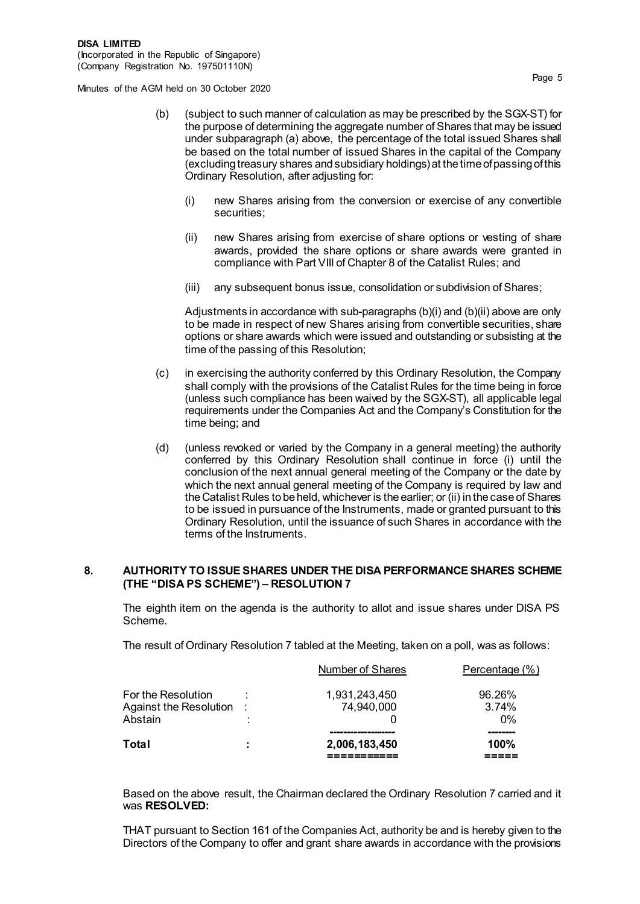- (b) (subject to such manner of calculation as may be prescribed by the SGX-ST) for the purpose of determining the aggregate number of Shares that may be issued under subparagraph (a) above, the percentage of the total issued Shares shall be based on the total number of issued Shares in the capital of the Company (excluding treasury shares and subsidiary holdings) at the time of passing of this Ordinary Resolution, after adjusting for:
	- (i) new Shares arising from the conversion or exercise of any convertible securities;
	- (ii) new Shares arising from exercise of share options or vesting of share awards, provided the share options or share awards were granted in compliance with Part VIII of Chapter 8 of the Catalist Rules; and
	- (iii) any subsequent bonus issue, consolidation or subdivision of Shares;

Adjustments in accordance with sub-paragraphs (b)(i) and (b)(ii) above are only to be made in respect of new Shares arising from convertible securities, share options or share awards which were issued and outstanding or subsisting at the time of the passing of this Resolution;

- (c) in exercising the authority conferred by this Ordinary Resolution, the Company shall comply with the provisions of the Catalist Rules for the time being in force (unless such compliance has been waived by the SGX-ST), all applicable legal requirements under the Companies Act and the Company's Constitution for the time being; and
- (d) (unless revoked or varied by the Company in a general meeting) the authority conferred by this Ordinary Resolution shall continue in force (i) until the conclusion of the next annual general meeting of the Company or the date by which the next annual general meeting of the Company is required by law and the Catalist Rules to be held, whichever is the earlier; or (ii) in the case of Shares to be issued in pursuance of the Instruments, made or granted pursuant to this Ordinary Resolution, until the issuance of such Shares in accordance with the terms of the Instruments.

### **8. AUTHORITY TO ISSUE SHARES UNDER THE DISA PERFORMANCE SHARES SCHEME (THE "DISA PS SCHEME") – RESOLUTION 7**

The eighth item on the agenda is the authority to allot and issue shares under DISA PS Scheme.

The result of Ordinary Resolution 7 tabled at the Meeting, taken on a poll, was as follows:

| Total                                          | ٠<br>$\blacksquare$ | 2,006,183,450               | 100%            |
|------------------------------------------------|---------------------|-----------------------------|-----------------|
| Abstain                                        | $\blacksquare$      |                             | በ%              |
| For the Resolution<br>Against the Resolution : |                     | 1,931,243,450<br>74,940,000 | 96.26%<br>3.74% |
|                                                |                     | <b>Number of Shares</b>     | Percentage (%)  |

Based on the above result, the Chairman declared the Ordinary Resolution 7 carried and it was **RESOLVED:**

THAT pursuant to Section 161 of the Companies Act, authority be and is hereby given to the Directors of the Company to offer and grant share awards in accordance with the provisions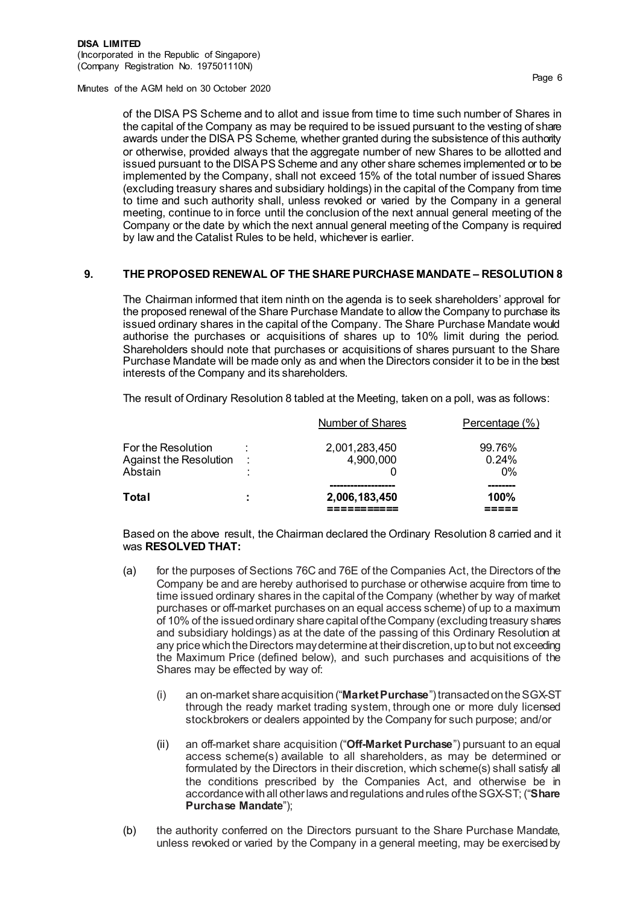of the DISA PS Scheme and to allot and issue from time to time such number of Shares in the capital of the Company as may be required to be issued pursuant to the vesting of share awards under the DISA PS Scheme, whether granted during the subsistence of this authority or otherwise, provided always that the aggregate number of new Shares to be allotted and issued pursuant to the DISA PS Scheme and any other share schemes implemented or to be implemented by the Company, shall not exceed 15% of the total number of issued Shares (excluding treasury shares and subsidiary holdings) in the capital of the Company from time to time and such authority shall, unless revoked or varied by the Company in a general meeting, continue to in force until the conclusion of the next annual general meeting of the Company or the date by which the next annual general meeting of the Company is required by law and the Catalist Rules to be held, whichever is earlier.

#### **9. THE PROPOSED RENEWAL OF THE SHARE PURCHASE MANDATE – RESOLUTION 8**

The Chairman informed that item ninth on the agenda is to seek shareholders' approval for the proposed renewal of the Share Purchase Mandate to allow the Company to purchase its issued ordinary shares in the capital of the Company. The Share Purchase Mandate would authorise the purchases or acquisitions of shares up to 10% limit during the period. Shareholders should note that purchases or acquisitions of shares pursuant to the Share Purchase Mandate will be made only as and when the Directors consider it to be in the best interests of the Company and its shareholders.

The result of Ordinary Resolution 8 tabled at the Meeting, taken on a poll, was as follows:

| Total                                                     | ÷         | 2,006,183,450              | 100%                     |
|-----------------------------------------------------------|-----------|----------------------------|--------------------------|
| For the Resolution<br>Against the Resolution :<br>Abstain | $\bullet$ | 2,001,283,450<br>4,900,000 | 99.76%<br>0.24%<br>$0\%$ |
|                                                           |           | <b>Number of Shares</b>    | Percentage (%)           |

Based on the above result, the Chairman declared the Ordinary Resolution 8 carried and it was **RESOLVED THAT:**

- (a) for the purposes of Sections 76C and 76E of the Companies Act, the Directors of the Company be and are hereby authorised to purchase or otherwise acquire from time to time issued ordinary shares in the capital of the Company (whether by way of market purchases or off-market purchases on an equal access scheme) of up to a maximum of 10% of the issued ordinary share capital of the Company (excluding treasury shares and subsidiary holdings) as at the date of the passing of this Ordinary Resolution at any price which the Directors may determine at their discretion, up to but not exceeding the Maximum Price (defined below), and such purchases and acquisitions of the Shares may be effected by way of:
	- (i) an on-market share acquisition ("**Market Purchase**") transacted on the SGX-ST through the ready market trading system, through one or more duly licensed stockbrokers or dealers appointed by the Company for such purpose; and/or
	- (ii) an off-market share acquisition ("**Off-Market Purchase**") pursuant to an equal access scheme(s) available to all shareholders, as may be determined or formulated by the Directors in their discretion, which scheme(s) shall satisfy all the conditions prescribed by the Companies Act, and otherwise be in accordance with all other laws and regulations and rules of the SGX-ST; ("**Share Purchase Mandate**");
- (b) the authority conferred on the Directors pursuant to the Share Purchase Mandate, unless revoked or varied by the Company in a general meeting, may be exercised by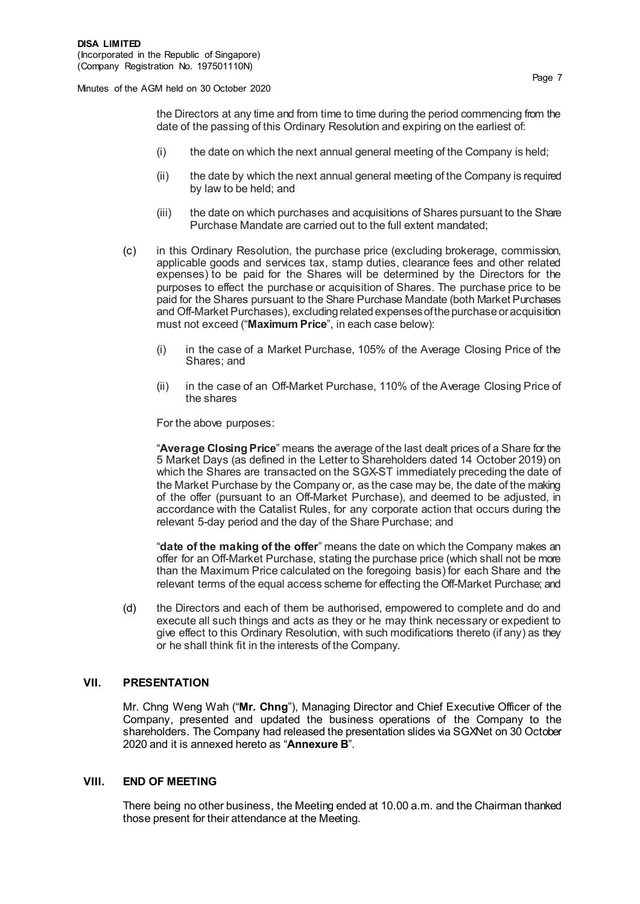the Directors at any time and from time to time during the period commencing from the date of the passing of this Ordinary Resolution and expiring on the earliest of:

- (i) the date on which the next annual general meeting of the Company is held;
- (ii) the date by which the next annual general meeting of the Company is required by law to be held; and
- (iii) the date on which purchases and acquisitions of Shares pursuant to the Share Purchase Mandate are carried out to the full extent mandated;
- (c) in this Ordinary Resolution, the purchase price (excluding brokerage, commission, applicable goods and services tax, stamp duties, clearance fees and other related expenses) to be paid for the Shares will be determined by the Directors for the purposes to effect the purchase or acquisition of Shares. The purchase price to be paid for the Shares pursuant to the Share Purchase Mandate (both Market Purchases and Off-Market Purchases), excluding related expenses of the purchase or acquisition must not exceed ("**Maximum Price**", in each case below):
	- (i) in the case of a Market Purchase, 105% of the Average Closing Price of the Shares; and
	- (ii) in the case of an Off-Market Purchase, 110% of the Average Closing Price of the shares

For the above purposes:

"**Average Closing Price**" means the average of the last dealt prices of a Share for the 5 Market Days (as defined in the Letter to Shareholders dated 14 October 2019) on which the Shares are transacted on the SGX-ST immediately preceding the date of the Market Purchase by the Company or, as the case may be, the date of the making of the offer (pursuant to an Off-Market Purchase), and deemed to be adjusted, in accordance with the Catalist Rules, for any corporate action that occurs during the relevant 5-day period and the day of the Share Purchase; and

"**date of the making of the offer**" means the date on which the Company makes an offer for an Off-Market Purchase, stating the purchase price (which shall not be more than the Maximum Price calculated on the foregoing basis) for each Share and the relevant terms of the equal access scheme for effecting the Off-Market Purchase; and

(d) the Directors and each of them be authorised, empowered to complete and do and execute all such things and acts as they or he may think necessary or expedient to give effect to this Ordinary Resolution, with such modifications thereto (if any) as they or he shall think fit in the interests of the Company.

#### **VII. PRESENTATION**

Mr. Chng Weng Wah ("**Mr. Chng**"), Managing Director and Chief Executive Officer of the Company, presented and updated the business operations of the Company to the shareholders. The Company had released the presentation slides via SGXNet on 30 October 2020 and it is annexed hereto as "**Annexure B**".

#### **VIII. END OF MEETING**

There being no other business, the Meeting ended at 10.00 a.m. and the Chairman thanked those present for their attendance at the Meeting.